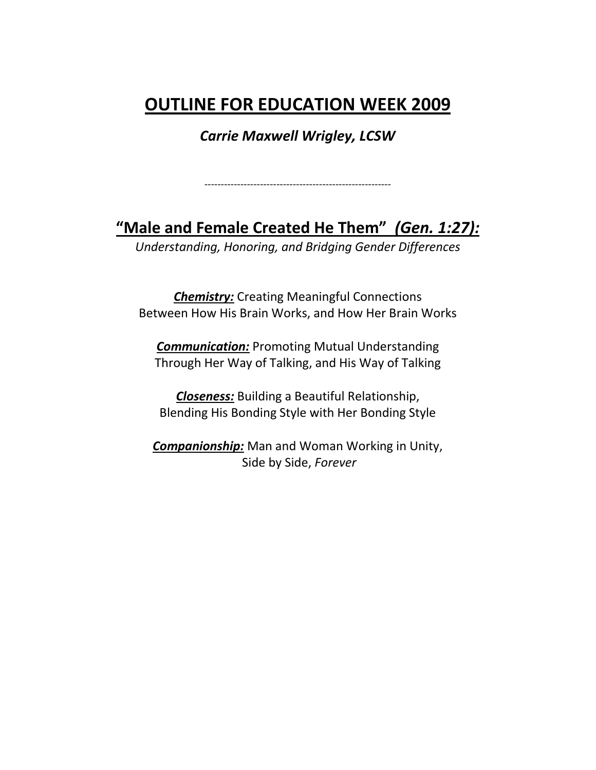## **OUTLINE FOR EDUCATION WEEK 2009**

*Carrie Maxwell Wrigley, LCSW*

**"Male and Female Created He Them"** *(Gen. 1:27):*

*---------------------------------------------------------*

*Understanding, Honoring, and Bridging Gender Differences*

*Chemistry:* Creating Meaningful Connections Between How His Brain Works, and How Her Brain Works

*Communication:* Promoting Mutual Understanding Through Her Way of Talking, and His Way of Talking

*Closeness:* Building a Beautiful Relationship, Blending His Bonding Style with Her Bonding Style

*Companionship:* Man and Woman Working in Unity, Side by Side, *Forever*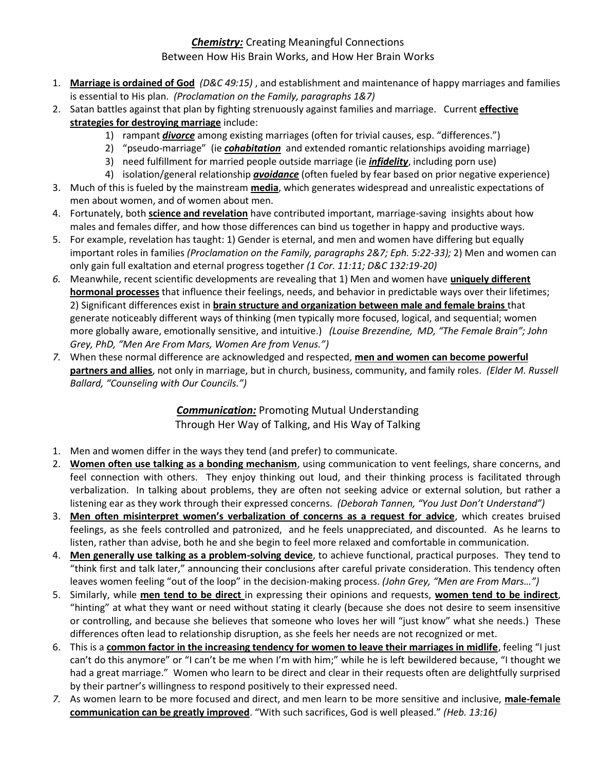## *Chemistry:* Creating Meaningful Connections Between How His Brain Works, and How Her Brain Works

- 1. **Marriage is ordained of God** *(D&C 49:15)* , and establishment and maintenance of happy marriages and families is essential to His plan. *(Proclamation on the Family, paragraphs 1&7)*
- 2. Satan battles against that plan by fighting strenuously against families and marriage. Current **effective strategies for destroying marriage** include:
	- 1) rampant *divorce* among existing marriages (often for trivial causes, esp. "differences.")
	- 2) "pseudo-marriage" (ie *cohabitation* and extended romantic relationships avoiding marriage)
	- 3) need fulfillment for married people outside marriage (ie *infidelity*, including porn use)
- 4) isolation/general relationship *avoidance* (often fueled by fear based on prior negative experience) 3. Much of this is fueled by the mainstream **media**, which generates widespread and unrealistic expectations of men about women, and of women about men.
- 4. Fortunately, both **science and revelation** have contributed important, marriage-saving insights about how males and females differ, and how those differences can bind us together in happy and productive ways.
- 5. For example, revelation has taught: 1) Gender is eternal, and men and women have differing but equally important roles in families *(Proclamation on the Family, paragraphs 2&7; Eph. 5:22-33);* 2) Men and women can only gain full exaltation and eternal progress together *(1 Cor. 11:11; D&C 132:19-20)*
- *6.* Meanwhile, recent scientific developments are revealing that 1) Men and women have **uniquely different hormonal processes** that influence their feelings, needs, and behavior in predictable ways over their lifetimes; 2) Significant differences exist in **brain structure and organization between male and female brains** that generate noticeably different ways of thinking (men typically more focused, logical, and sequential; women more globally aware, emotionally sensitive, and intuitive.) *(Louise Brezendine, MD, "The Female Brain"; John Grey, PhD, "Men Are From Mars, Women Are from Venus.")*
- *7.* When these normal difference are acknowledged and respected, **men and women can become powerful partners and allies**, not only in marriage, but in church, business, community, and family roles. *(Elder M. Russell Ballard, "Counseling with Our Councils.")*

## *Communication:* Promoting Mutual Understanding Through Her Way of Talking, and His Way of Talking

- 1. Men and women differ in the ways they tend (and prefer) to communicate.
- 2. **Women often use talking as a bonding mechanism**, using communication to vent feelings, share concerns, and feel connection with others. They enjoy thinking out loud, and their thinking process is facilitated through verbalization. In talking about problems, they are often not seeking advice or external solution, but rather a listening ear as they work through their expressed concerns. *(Deborah Tannen, "You Just Don't Understand")*
- 3. **Men often misinterpret women's verbalization of concerns as a request for advice**, which creates bruised feelings, as she feels controlled and patronized, and he feels unappreciated, and discounted. As he learns to listen, rather than advise, both he and she begin to feel more relaxed and comfortable in communication.
- 4. **Men generally use talking as a problem-solving device**, to achieve functional, practical purposes. They tend to "think first and talk later," announcing their conclusions after careful private consideration. This tendency often leaves women feeling "out of the loop" in the decision-making process. *(John Grey, "Men are From Mars…")*
- 5. Similarly, while **men tend to be direct** in expressing their opinions and requests, **women tend to be indirect**, "hinting" at what they want or need without stating it clearly (because she does not desire to seem insensitive or controlling, and because she believes that someone who loves her will "just know" what she needs.) These differences often lead to relationship disruption, as she feels her needs are not recognized or met.
- 6. This is a **common factor in the increasing tendency for women to leave their marriages in midlife**, feeling "I just can't do this anymore" or "I can't be me when I'm with him;" while he is left bewildered because, "I thought we had a great marriage." Women who learn to be direct and clear in their requests often are delightfully surprised by their partner's willingness to respond positively to their expressed need.
- *7.* As women learn to be more focused and direct, and men learn to be more sensitive and inclusive, **male-female communication can be greatly improved**. "With such sacrifices, God is well pleased." *(Heb. 13:16)*